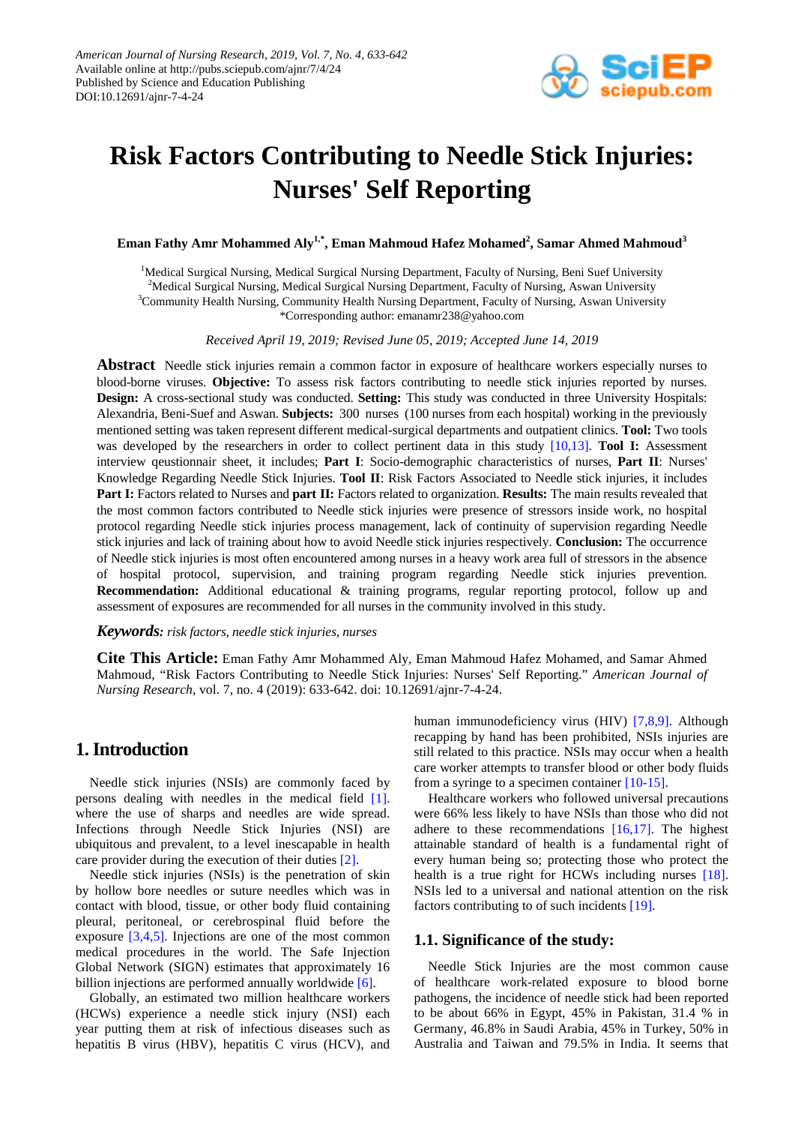

# **Risk Factors Contributing to Needle Stick Injuries: Nurses' Self Reporting**

 $\boldsymbol{\mathrm{E}}$ man Fathy Amr Mohammed Aly<sup>1,\*</sup>, Eman Mahmoud Hafez Mohamed<sup>2</sup>, Samar Ahmed Mahmoud<sup>3</sup>

<sup>1</sup>Medical Surgical Nursing, Medical Surgical Nursing Department, Faculty of Nursing, Beni Suef University <sup>2</sup>Medical Surgical Nursing, Medical Surgical Nursing Department, Faculty of Nursing, Aswan University 3 Community Health Nursing, Community Health Nursing Department, Faculty of Nursing, Aswan University \*Corresponding author: emanamr238@yahoo.com

*Received April 19, 2019; Revised June 05, 2019; Accepted June 14, 2019*

**Abstract** Needle stick injuries remain a common factor in exposure of healthcare workers especially nurses to blood-borne viruses. **Objective:** To assess risk factors contributing to needle stick injuries reported by nurses. **Design:** A cross-sectional study was conducted. **Setting:** This study was conducted in three University Hospitals: Alexandria, Beni-Suef and Aswan. **Subjects:** 300 nurses (100 nurses from each hospital) working in the previously mentioned setting was taken represent different medical-surgical departments and outpatient clinics. **Tool:** Two tools was developed by the researchers in order to collect pertinent data in this study [\[10,13\].](#page-8-0) **Tool I:** Assessment interview qeustionnair sheet, it includes; **Part I**: Socio-demographic characteristics of nurses, **Part II**: Nurses' Knowledge Regarding Needle Stick Injuries. **Tool II**: Risk Factors Associated to Needle stick injuries, it includes **Part I:** Factors related to Nurses and **part II:** Factors related to organization. **Results:** The main results revealed that the most common factors contributed to Needle stick injuries were presence of stressors inside work, no hospital protocol regarding Needle stick injuries process management, lack of continuity of supervision regarding Needle stick injuries and lack of training about how to avoid Needle stick injuries respectively. **Conclusion:** The occurrence of Needle stick injuries is most often encountered among nurses in a heavy work area full of stressors in the absence of hospital protocol, supervision, and training program regarding Needle stick injuries prevention. **Recommendation:** Additional educational & training programs, regular reporting protocol, follow up and assessment of exposures are recommended for all nurses in the community involved in this study.

### *Keywords: risk factors, needle stick injuries, nurses*

**Cite This Article:** Eman Fathy Amr Mohammed Aly, Eman Mahmoud Hafez Mohamed, and Samar Ahmed Mahmoud, "Risk Factors Contributing to Needle Stick Injuries: Nurses' Self Reporting." *American Journal of Nursing Research*, vol. 7, no. 4 (2019): 633-642. doi: 10.12691/ajnr-7-4-24.

# **1. Introduction**

Needle stick injuries (NSIs) are commonly faced by persons dealing with needles in the medical field [\[1\].](#page-8-1) where the use of sharps and needles are wide spread. Infections through Needle Stick Injuries (NSI) are ubiquitous and prevalent, to a level inescapable in health care provider during the execution of their duties [\[2\].](#page-8-2)

Needle stick injuries (NSIs) is the penetration of skin by hollow bore needles or suture needles which was in contact with blood, tissue, or other body fluid containing pleural, peritoneal, or cerebrospinal fluid before the exposure [\[3,4,5\].](#page-8-3) Injections are one of the most common medical procedures in the world. The Safe Injection Global Network (SIGN) estimates that approximately 16 billion injections are performed annually worldwide [\[6\].](#page-8-4)

Globally, an estimated two million healthcare workers (HCWs) experience a needle stick injury (NSI) each year putting them at risk of infectious diseases such as hepatitis B virus (HBV), hepatitis C virus (HCV), and human immunodeficiency virus (HIV) [\[7,8,9\].](#page-8-5) Although recapping by hand has been prohibited, NSIs injuries are still related to this practice. NSIs may occur when a health care worker attempts to transfer blood or other body fluids from a syringe to a specimen container [\[10-15\].](#page-8-0)

Healthcare workers who followed universal precautions were 66% less likely to have NSIs than those who did not adhere to these recommendations [\[16,17\].](#page-8-6) The highest attainable standard of health is a fundamental right of every human being so; protecting those who protect the health is a true right for HCWs including nurses [\[18\].](#page-8-7) NSIs led to a universal and national attention on the risk factors contributing to of such incidents [\[19\].](#page-8-8)

## **1.1. Significance of the study:**

Needle Stick Injuries are the most common cause of healthcare work-related exposure to blood borne pathogens, the incidence of needle stick had been reported to be about 66% in Egypt, 45% in Pakistan, 31.4 % in Germany, 46.8% in Saudi Arabia, 45% in Turkey, 50% in Australia and Taiwan and 79.5% in India. It seems that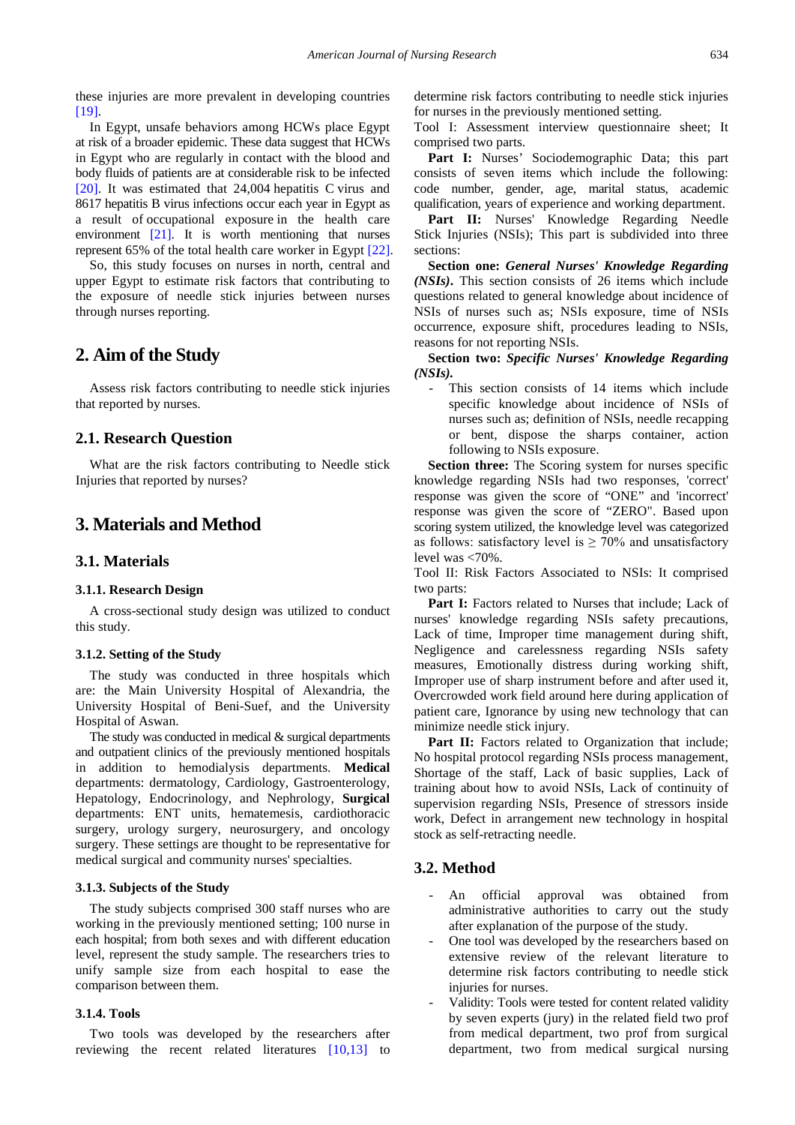these injuries are more prevalent in developing countries [\[19\].](#page-8-8)

In Egypt, unsafe behaviors among HCWs place Egypt at risk of a broader epidemic. These data suggest that HCWs in Egypt who are regularly in contact with the blood and body fluids of patients are at considerable risk to be infected [\[20\].](#page-8-9) It was estimated that 24,004 hepatitis C virus and 8617 hepatitis B virus infections occur each year in Egypt as a result of occupational exposure in the health care environment [\[21\].](#page-8-10) It is worth mentioning that nurses represent 65% of the total health care worker in Egypt [\[22\].](#page-8-11)

So, this study focuses on nurses in north, central and upper Egypt to estimate risk factors that contributing to the exposure of needle stick injuries between nurses through nurses reporting.

# **2. Aim of the Study**

Assess risk factors contributing to needle stick injuries that reported by nurses.

## **2.1. Research Question**

What are the risk factors contributing to Needle stick Injuries that reported by nurses?

# **3. Materials and Method**

## **3.1. Materials**

#### **3.1.1. Research Design**

A cross-sectional study design was utilized to conduct this study.

#### **3.1.2. Setting of the Study**

The study was conducted in three hospitals which are: the Main University Hospital of Alexandria, the University Hospital of Beni-Suef, and the University Hospital of Aswan.

The study was conducted in medical  $&$  surgical departments and outpatient clinics of the previously mentioned hospitals in addition to hemodialysis departments. **Medical** departments: dermatology, Cardiology, Gastroenterology, Hepatology, Endocrinology, and Nephrology, **Surgical** departments: ENT units, hematemesis, cardiothoracic surgery, urology surgery, neurosurgery, and oncology surgery. These settings are thought to be representative for medical surgical and community nurses' specialties.

#### **3.1.3. Subjects of the Study**

The study subjects comprised 300 staff nurses who are working in the previously mentioned setting; 100 nurse in each hospital; from both sexes and with different education level, represent the study sample. The researchers tries to unify sample size from each hospital to ease the comparison between them.

## **3.1.4. Tools**

Two tools was developed by the researchers after reviewing the recent related literatures [\[10,13\]](#page-8-0) to determine risk factors contributing to needle stick injuries for nurses in the previously mentioned setting.

Tool I: Assessment interview questionnaire sheet; It comprised two parts.

Part I: Nurses' Sociodemographic Data; this part consists of seven items which include the following: code number, gender, age, marital status, academic qualification, years of experience and working department.

Part II: Nurses' Knowledge Regarding Needle Stick Injuries (NSIs); This part is subdivided into three sections:

**Section one:** *General Nurses' Knowledge Regarding (NSIs)***.** This section consists of 26 items which include questions related to general knowledge about incidence of NSIs of nurses such as; NSIs exposure, time of NSIs occurrence, exposure shift, procedures leading to NSIs, reasons for not reporting NSIs.

**Section two:** *Specific Nurses' Knowledge Regarding (NSIs).*

This section consists of 14 items which include specific knowledge about incidence of NSIs of nurses such as; definition of NSIs, needle recapping or bent, dispose the sharps container, action following to NSIs exposure.

**Section three:** The Scoring system for nurses specific knowledge regarding NSIs had two responses, 'correct' response was given the score of "ONE" and 'incorrect' response was given the score of "ZERO". Based upon scoring system utilized, the knowledge level was categorized as follows: satisfactory level is  $\geq 70\%$  and unsatisfactory level was <70%.

Tool II: Risk Factors Associated to NSIs: It comprised two parts:

Part I: Factors related to Nurses that include; Lack of nurses' knowledge regarding NSIs safety precautions, Lack of time, Improper time management during shift, Negligence and carelessness regarding NSIs safety measures, Emotionally distress during working shift, Improper use of sharp instrument before and after used it, Overcrowded work field around here during application of patient care, Ignorance by using new technology that can minimize needle stick injury.

Part II: Factors related to Organization that include; No hospital protocol regarding NSIs process management, Shortage of the staff, Lack of basic supplies, Lack of training about how to avoid NSIs, Lack of continuity of supervision regarding NSIs, Presence of stressors inside work, Defect in arrangement new technology in hospital stock as self-retracting needle.

## **3.2. Method**

- An official approval was obtained from administrative authorities to carry out the study after explanation of the purpose of the study.
- One tool was developed by the researchers based on extensive review of the relevant literature to determine risk factors contributing to needle stick injuries for nurses.
- Validity: Tools were tested for content related validity by seven experts (jury) in the related field two prof from medical department, two prof from surgical department, two from medical surgical nursing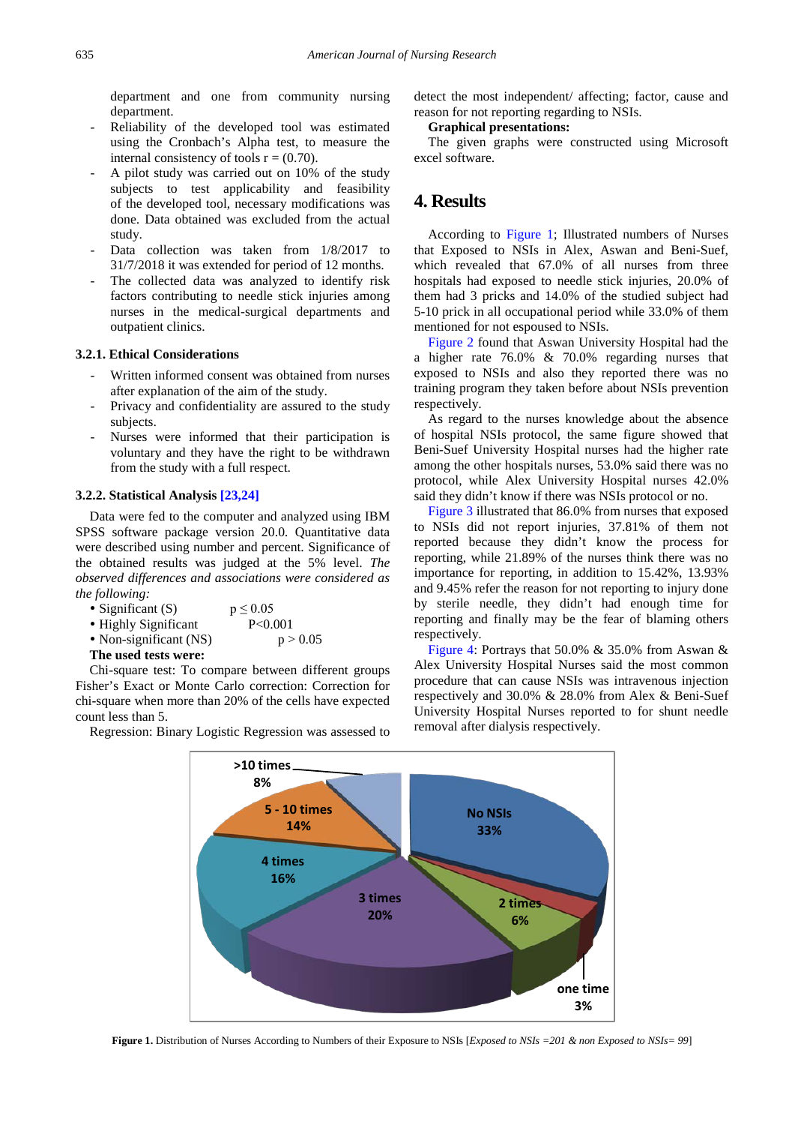department and one from community nursing department.

- Reliability of the developed tool was estimated using the Cronbach's Alpha test, to measure the internal consistency of tools  $r = (0.70)$ .
- A pilot study was carried out on 10% of the study subjects to test applicability and feasibility of the developed tool, necessary modifications was done. Data obtained was excluded from the actual study.
- Data collection was taken from  $1/8/2017$  to 31/7/2018 it was extended for period of 12 months.
- The collected data was analyzed to identify risk factors contributing to needle stick injuries among nurses in the medical-surgical departments and outpatient clinics.

### **3.2.1. Ethical Considerations**

- Written informed consent was obtained from nurses after explanation of the aim of the study.
- Privacy and confidentiality are assured to the study subjects.
- Nurses were informed that their participation is voluntary and they have the right to be withdrawn from the study with a full respect.

#### **3.2.2. Statistical Analysis [\[23,24\]](#page-8-12)**

Data were fed to the computer and analyzed using IBM SPSS software package version 20.0*.* Quantitative data were described using number and percent. Significance of the obtained results was judged at the 5% level. *The observed differences and associations were considered as the following:*

| • Significant $(S)$      | $p \le 0.05$ |
|--------------------------|--------------|
| • Highly Significant     | P < 0.001    |
| • Non-significant $(NS)$ | p > 0.05     |
| The used tests were:     |              |

Chi-square test: To compare between different groups Fisher's Exact or Monte Carlo correction: Correction for chi-square when more than 20% of the cells have expected count less than 5.

<span id="page-2-0"></span>Regression: Binary Logistic Regression was assessed to

detect the most independent/ affecting; factor, cause and reason for not reporting regarding to NSIs.

## **Graphical presentations:**

The given graphs were constructed using Microsoft excel software.

# **4. Results**

According to [Figure 1;](#page-2-0) Illustrated numbers of Nurses that Exposed to NSIs in Alex, Aswan and Beni-Suef, which revealed that 67.0% of all nurses from three hospitals had exposed to needle stick injuries, 20.0% of them had 3 pricks and 14.0% of the studied subject had 5-10 prick in all occupational period while 33.0% of them mentioned for not espoused to NSIs.

[Figure 2](#page-3-0) found that Aswan University Hospital had the a higher rate 76.0% & 70.0% regarding nurses that exposed to NSIs and also they reported there was no training program they taken before about NSIs prevention respectively.

As regard to the nurses knowledge about the absence of hospital NSIs protocol, the same figure showed that Beni-Suef University Hospital nurses had the higher rate among the other hospitals nurses, 53.0% said there was no protocol, while Alex University Hospital nurses 42.0% said they didn't know if there was NSIs protocol or no.

[Figure 3](#page-3-1) illustrated that 86.0% from nurses that exposed to NSIs did not report injuries, 37.81% of them not reported because they didn't know the process for reporting, while 21.89% of the nurses think there was no importance for reporting, in addition to 15.42%, 13.93% and 9.45% refer the reason for not reporting to injury done by sterile needle, they didn't had enough time for reporting and finally may be the fear of blaming others respectively.

[Figure 4:](#page-4-0) Portrays that 50.0% & 35.0% from Aswan & Alex University Hospital Nurses said the most common procedure that can cause NSIs was intravenous injection respectively and 30.0% & 28.0% from Alex & Beni-Suef University Hospital Nurses reported to for shunt needle removal after dialysis respectively.



**Figure 1.** Distribution of Nurses According to Numbers of their Exposure to NSIs [*Exposed to NSIs* = 201 & non Exposed to NSIs = 99]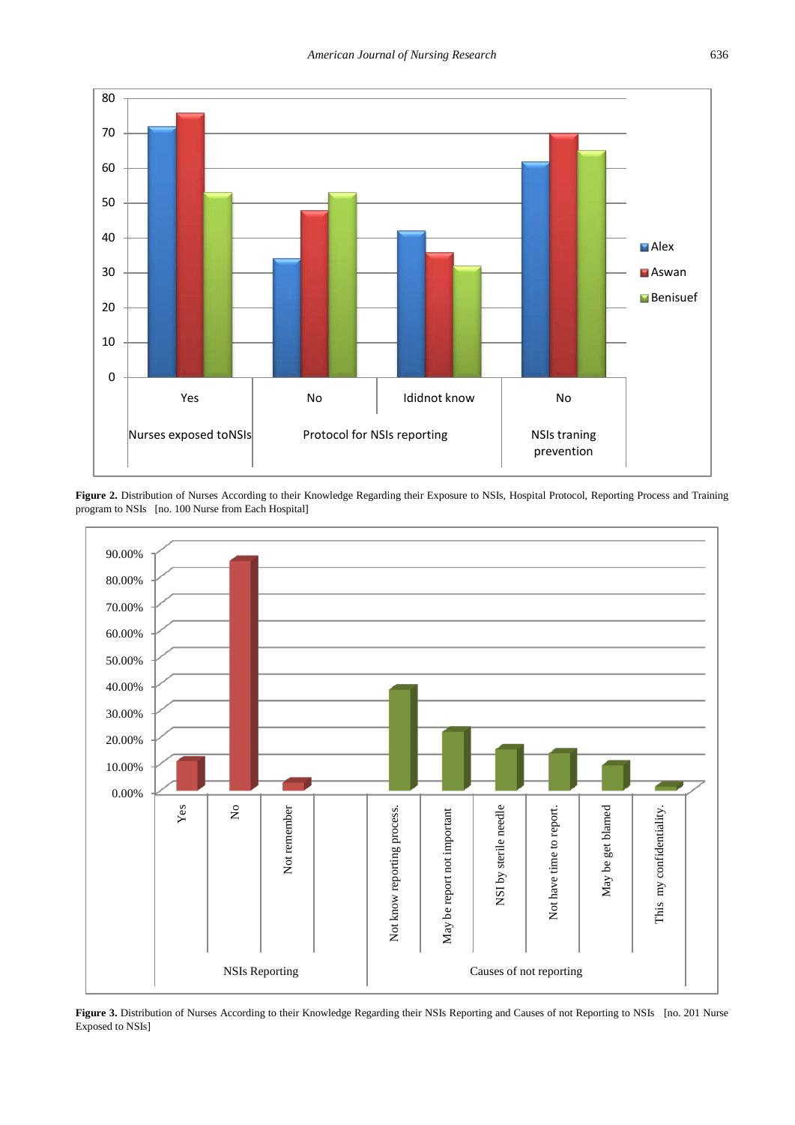<span id="page-3-0"></span>

Figure 2. Distribution of Nurses According to their Knowledge Regarding their Exposure to NSIs, Hospital Protocol, Reporting Process and Training program to NSIs [no. 100 Nurse from Each Hospital]

<span id="page-3-1"></span>

Figure 3. Distribution of Nurses According to their Knowledge Regarding their NSIs Reporting and Causes of not Reporting to NSIs [no. 201 Nurse Exposed to NSIs]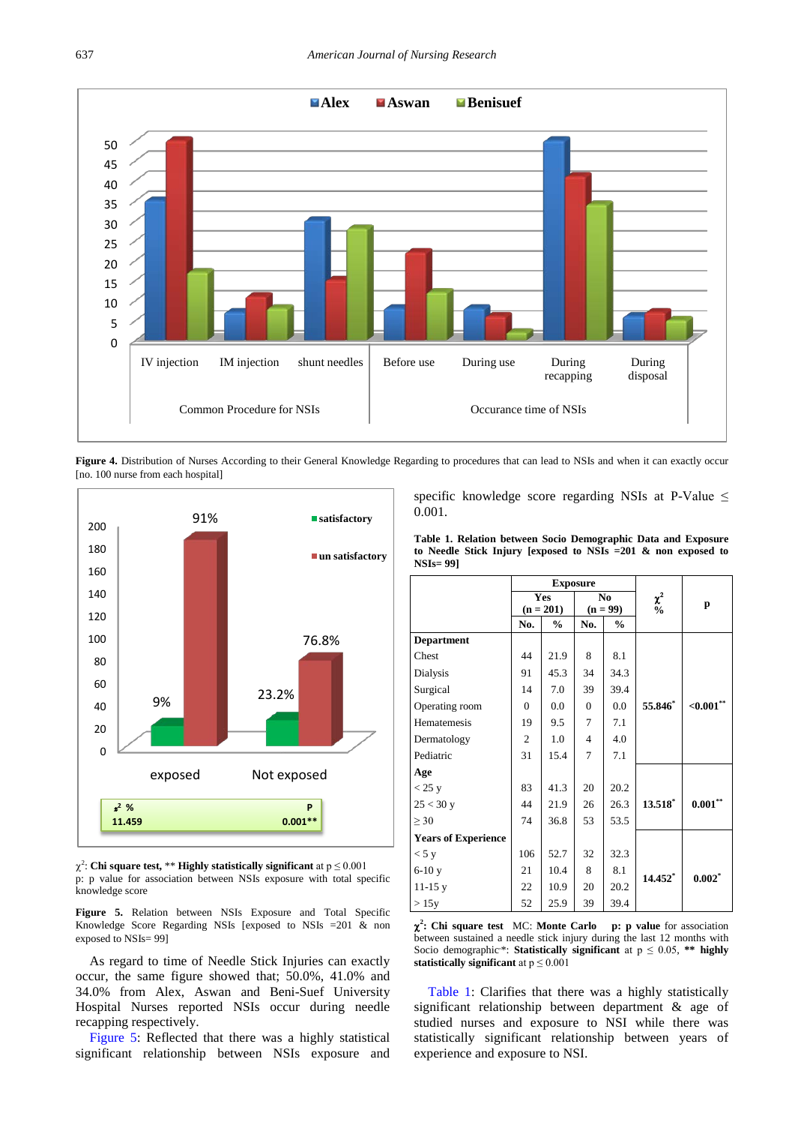<span id="page-4-0"></span>

Figure 4. Distribution of Nurses According to their General Knowledge Regarding to procedures that can lead to NSIs and when it can exactly occur [no. 100 nurse from each hospital]

<span id="page-4-1"></span>

 $\chi^2$ : Chi square test, \*\* Highly statistically significant at  $p \le 0.001$ p: p value for association between NSIs exposure with total specific knowledge score

**Figure 5.** Relation between NSIs Exposure and Total Specific Knowledge Score Regarding NSIs [exposed to NSIs =201 & non exposed to NSIs= 99]

As regard to time of Needle Stick Injuries can exactly occur, the same figure showed that; 50.0%, 41.0% and 34.0% from Alex, Aswan and Beni-Suef University Hospital Nurses reported NSIs occur during needle recapping respectively.

[Figure 5:](#page-4-1) Reflected that there was a highly statistical significant relationship between NSIs exposure and specific knowledge score regarding NSIs at P-Value  $\leq$ 0.001.

**Table 1. Relation between Socio Demographic Data and Exposure to Needle Stick Injury [exposed to NSIs =201 & non exposed to NSIs= 99]**

<span id="page-4-2"></span>

|                            | <b>Exposure</b> |               |                |                |               |                       |  |
|----------------------------|-----------------|---------------|----------------|----------------|---------------|-----------------------|--|
|                            | Yes             |               | No.            |                | $\chi^2$      | p                     |  |
|                            | $(n = 201)$     |               | $(n = 99)$     |                | $\frac{0}{0}$ |                       |  |
|                            | No.             | $\frac{6}{9}$ | No.            | $\frac{6}{10}$ |               |                       |  |
| <b>Department</b>          |                 |               |                |                |               |                       |  |
| Chest                      | 44              | 21.9          | 8              | 8.1            |               |                       |  |
| Dialysis                   | 91              | 45.3          | 34             | 34.3           |               |                       |  |
| Surgical                   | 14              | 7.0           | 39             | 39.4           |               |                       |  |
| Operating room             | $\Omega$        | 0.0           | $\Omega$       | 0.0            | 55.846*       | ${<}0.001$ **         |  |
| Hematemesis                | 19              | 9.5           | $\overline{7}$ | 7.1            |               |                       |  |
| Dermatology                | $\overline{c}$  | 1.0           | $\overline{4}$ | 4.0            |               |                       |  |
| Pediatric                  | 31              | 15.4          | 7              | 7.1            |               |                       |  |
| Age                        |                 |               |                |                |               |                       |  |
| $<$ 25 y                   | 83              | 41.3          | 20             | 20.2           |               |                       |  |
| 25 < 30y                   | 44              | 21.9          | 26             | 26.3           | $13.518^*$    | $\textbf{0.001}^{**}$ |  |
| $\geq 30$                  | 74              | 36.8          | 53             | 53.5           |               |                       |  |
| <b>Years of Experience</b> |                 |               |                |                |               |                       |  |
| $<$ 5 y                    | 106             | 52.7          | 32             | 32.3           |               |                       |  |
| $6-10y$                    | 21              | 10.4          | 8              | 8.1            | 14.452*       | $0.002$ <sup>*</sup>  |  |
| $11-15y$                   | 22              | 10.9          | 20             | 20.2           |               |                       |  |
| >15y                       | 52              | 25.9          | 39             | 39.4           |               |                       |  |

χ**2 : Chi square test** MC: **Monte Carlo p: p value** for association between sustained a needle stick injury during the last 12 months with Socio demographic\*: **Statistically significant** at  $p \le 0.05$ , \*\* highly **statistically significant** at p ≤ 0.001

[Table 1:](#page-4-2) Clarifies that there was a highly statistically significant relationship between department & age of studied nurses and exposure to NSI while there was statistically significant relationship between years of experience and exposure to NSI.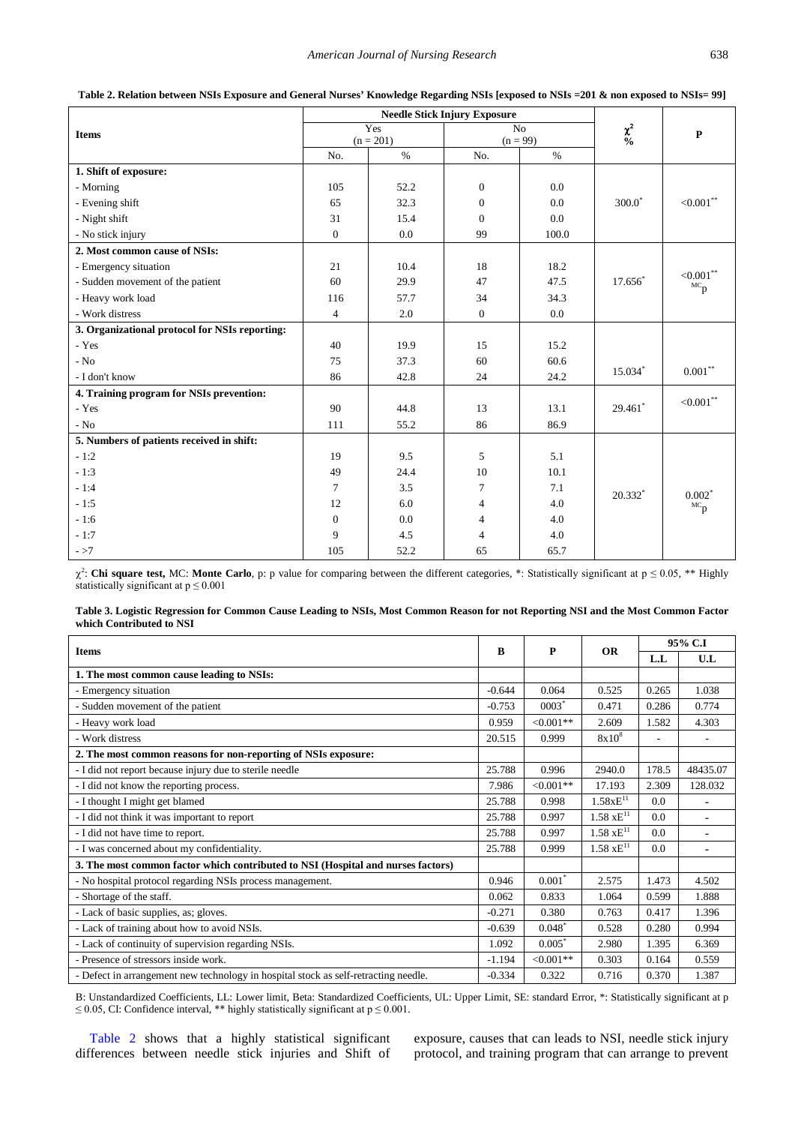<span id="page-5-0"></span>

|                                                |                | <b>Needle Stick Injury Exposure</b> | $\chi^2_{\rm 0/6}$ | $\mathbf{P}$ |                 |                                  |
|------------------------------------------------|----------------|-------------------------------------|--------------------|--------------|-----------------|----------------------------------|
| <b>Items</b>                                   | Yes            |                                     |                    |              | $\overline{No}$ |                                  |
|                                                | $(n = 201)$    |                                     |                    |              | $(n = 99)$      |                                  |
|                                                | No.            | $\%$                                | No.                | $\%$         |                 |                                  |
| 1. Shift of exposure:                          |                |                                     |                    |              |                 |                                  |
| - Morning                                      | 105            | 52.2                                | $\boldsymbol{0}$   | 0.0          |                 |                                  |
| - Evening shift                                | 65             | 32.3                                | $\mathbf{0}$       | 0.0          | $300.0^*$       | ${<}0.001^{**}$                  |
| - Night shift                                  | 31             | 15.4                                | $\mathbf{0}$       | 0.0          |                 |                                  |
| - No stick injury                              | $\Omega$       | 0.0                                 | 99                 | 100.0        |                 |                                  |
| 2. Most common cause of NSIs:                  |                |                                     |                    |              |                 |                                  |
| - Emergency situation                          | 21             | 10.4                                | 18                 | 18.2         |                 |                                  |
| - Sudden movement of the patient               | 60             | 29.9                                | 47                 | 47.5         | 17.656*         | $<0.001$ **<br>${}^{\text{MC}}p$ |
| - Heavy work load                              | 116            | 57.7                                | 34                 | 34.3         |                 |                                  |
| - Work distress                                | $\overline{4}$ | 2.0                                 | $\overline{0}$     | 0.0          |                 |                                  |
| 3. Organizational protocol for NSIs reporting: |                |                                     |                    |              |                 |                                  |
| - Yes                                          | 40             | 19.9                                | 15                 | 15.2         |                 |                                  |
| $-$ No                                         | 75             | 37.3                                | 60                 | 60.6         |                 |                                  |
| - I don't know                                 | 86             | 42.8                                | 24                 | 24.2         | 15.034 $*$      | $0.001***$                       |
| 4. Training program for NSIs prevention:       |                |                                     |                    |              |                 |                                  |
| - Yes                                          | 90             | 44.8                                | 13                 | 13.1         | 29.461*         | ${<}0.001$ **                    |
| $-$ No                                         | 111            | 55.2                                | 86                 | 86.9         |                 |                                  |
| 5. Numbers of patients received in shift:      |                |                                     |                    |              |                 |                                  |
| $-1:2$                                         | 19             | 9.5                                 | 5                  | 5.1          |                 |                                  |
| $-1:3$                                         | 49             | 24.4                                | 10                 | 10.1         |                 |                                  |
| $-1:4$                                         | $\tau$         | 3.5                                 | 7                  | 7.1          | $20.332*$       | $0.002*$                         |
| $-1:5$                                         | 12             | 6.0                                 | $\overline{4}$     | 4.0          |                 | ${}^{\text{MC}}p$                |
| $-1:6$                                         | $\theta$       | 0.0                                 | $\overline{4}$     | 4.0          |                 |                                  |
| $-1:7$                                         | 9              | 4.5                                 | $\overline{4}$     | 4.0          |                 |                                  |
| $- >7$                                         | 105            | 52.2                                | 65                 | 65.7         |                 |                                  |

| Table 2. Relation between NSIs Exposure and General Nurses' Knowledge Regarding NSIs [exposed to NSIs = 201 & non exposed to NSIs = 99] |  |  |  |  |
|-----------------------------------------------------------------------------------------------------------------------------------------|--|--|--|--|
|                                                                                                                                         |  |  |  |  |

 $χ<sup>2</sup>$ : **Chi square test,** MC: **Monte Carlo**, p: p value for comparing between the different categories, \*: Statistically significant at p ≤ 0.05, \*\* Highly statistically significant at  $p \le 0.001$ 

| Table 3. Logistic Regression for Common Cause Leading to NSIs, Most Common Reason for not Reporting NSI and the Most Common Factor |  |  |  |
|------------------------------------------------------------------------------------------------------------------------------------|--|--|--|
| which Contributed to NSI                                                                                                           |  |  |  |

<span id="page-5-1"></span>

| <b>Items</b>                                                                        |          | P            | <b>OR</b>                       | 95% C.I |                          |
|-------------------------------------------------------------------------------------|----------|--------------|---------------------------------|---------|--------------------------|
|                                                                                     |          |              |                                 | L.L     | U.L                      |
| 1. The most common cause leading to NSIs:                                           |          |              |                                 |         |                          |
| - Emergency situation                                                               | $-0.644$ | 0.064        | 0.525                           | 0.265   | 1.038                    |
| - Sudden movement of the patient                                                    | $-0.753$ | $0003*$      | 0.471                           | 0.286   | 0.774                    |
| - Heavy work load                                                                   | 0.959    | $<0.001**$   | 2.609                           | 1.582   | 4.303                    |
| - Work distress                                                                     | 20.515   | 0.999        | 8x10 <sup>8</sup>               | ٠       | $\overline{\phantom{a}}$ |
| 2. The most common reasons for non-reporting of NSIs exposure:                      |          |              |                                 |         |                          |
| - I did not report because injury due to sterile needle                             | 25.788   | 0.996        | 2940.0                          | 178.5   | 48435.07                 |
| - I did not know the reporting process.                                             | 7.986    | $< 0.001**$  | 17.193                          | 2.309   | 128.032                  |
| - I thought I might get blamed                                                      | 25.788   | 0.998        | $1.58xE^{11}$                   | 0.0     |                          |
| - I did not think it was important to report                                        | 25.788   | 0.997        | $1.58 \text{ xE}^{11}$          | 0.0     | $\overline{a}$           |
| - I did not have time to report.                                                    | 25.788   | 0.997        | $1.58 \text{ }\mathrm{xE}^{11}$ | 0.0     | $\overline{a}$           |
| - I was concerned about my confidentiality.                                         | 25.788   | 0.999        | $1.58 \text{ }\mathrm{xE}^{11}$ | 0.0     | $\overline{\phantom{a}}$ |
| 3. The most common factor which contributed to NSI (Hospital and nurses factors)    |          |              |                                 |         |                          |
| - No hospital protocol regarding NSIs process management.                           | 0.946    | $0.001*$     | 2.575                           | 1.473   | 4.502                    |
| - Shortage of the staff.                                                            | 0.062    | 0.833        | 1.064                           | 0.599   | 1.888                    |
| - Lack of basic supplies, as; gloves.                                               | $-0.271$ | 0.380        | 0.763                           | 0.417   | 1.396                    |
| - Lack of training about how to avoid NSIs.                                         | $-0.639$ | $0.048^*$    | 0.528                           | 0.280   | 0.994                    |
| - Lack of continuity of supervision regarding NSIs.                                 | 1.092    | $0.005*$     | 2.980                           | 1.395   | 6.369                    |
| - Presence of stressors inside work.                                                | $-1.194$ | $< 0.001$ ** | 0.303                           | 0.164   | 0.559                    |
| - Defect in arrangement new technology in hospital stock as self-retracting needle. | $-0.334$ | 0.322        | 0.716                           | 0.370   | 1.387                    |

B: Unstandardized Coefficients, LL: Lower limit, Beta: Standardized Coefficients, UL: Upper Limit, SE: standard Error, \*: Statistically significant at p  $\leq$  0.05, CI: Confidence interval, \*\* highly statistically significant at  $p \leq 0.001$ .

[Table 2](#page-5-0) shows that a highly statistical significant differences between needle stick injuries and Shift of exposure, causes that can leads to NSI, needle stick injury protocol, and training program that can arrange to prevent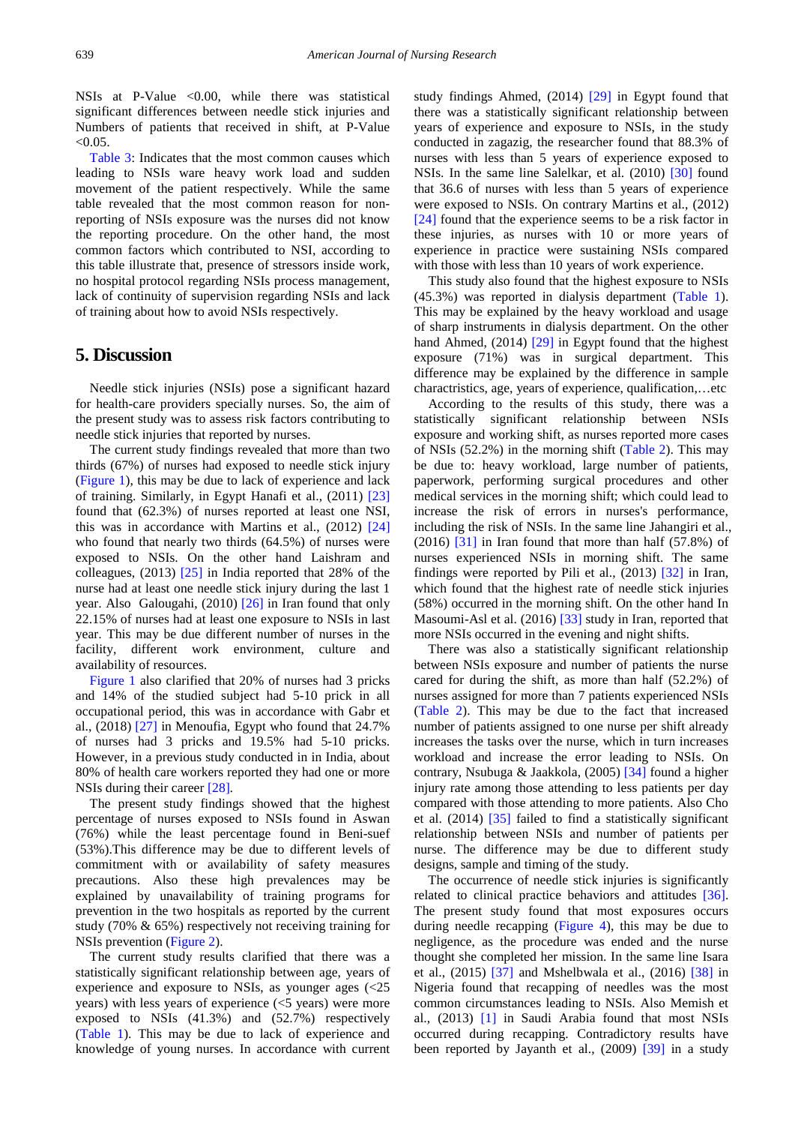NSIs at P-Value <0.00, while there was statistical significant differences between needle stick injuries and Numbers of patients that received in shift, at P-Value  $< 0.05$ 

[Table 3:](#page-5-1) Indicates that the most common causes which leading to NSIs ware heavy work load and sudden movement of the patient respectively. While the same table revealed that the most common reason for nonreporting of NSIs exposure was the nurses did not know the reporting procedure. On the other hand, the most common factors which contributed to NSI, according to this table illustrate that, presence of stressors inside work, no hospital protocol regarding NSIs process management, lack of continuity of supervision regarding NSIs and lack of training about how to avoid NSIs respectively.

# **5. Discussion**

Needle stick injuries (NSIs) pose a significant hazard for health-care providers specially nurses. So, the aim of the present study was to assess risk factors contributing to needle stick injuries that reported by nurses.

The current study findings revealed that more than two thirds (67%) of nurses had exposed to needle stick injury [\(Figure 1\)](#page-2-0), this may be due to lack of experience and lack of training. Similarly, in Egypt Hanafi et al., (2011) [\[23\]](#page-8-12) found that (62.3%) of nurses reported at least one NSI, this was in accordance with Martins et al., (2012) [\[24\]](#page-8-13) who found that nearly two thirds (64.5%) of nurses were exposed to NSIs. On the other hand Laishram and colleagues,  $(2013)$   $[25]$  in India reported that 28% of the nurse had at least one needle stick injury during the last 1 year. Also Galougahi, (2010) [\[26\]](#page-8-15) in Iran found that only 22.15% of nurses had at least one exposure to NSIs in last year. This may be due different number of nurses in the facility, different work environment, culture and availability of resources.

[Figure 1](#page-2-0) also clarified that 20% of nurses had 3 pricks and 14% of the studied subject had 5-10 prick in all occupational period, this was in accordance with Gabr et al.,  $(2018)$  [\[27\]](#page-8-16) in Menoufia, Egypt who found that 24.7% of nurses had 3 pricks and 19.5% had 5-10 pricks. However, in a previous study conducted in in India, about 80% of health care workers reported they had one or more NSIs during their career [\[28\]](#page-8-17)*.*

The present study findings showed that the highest percentage of nurses exposed to NSIs found in Aswan (76%) while the least percentage found in Beni-suef (53%).This difference may be due to different levels of commitment with or availability of safety measures precautions. Also these high prevalences may be explained by unavailability of training programs for prevention in the two hospitals as reported by the current study (70% & 65%) respectively not receiving training for NSIs prevention [\(Figure 2\)](#page-3-0).

The current study results clarified that there was a statistically significant relationship between age, years of experience and exposure to NSIs, as younger ages (<25 years) with less years of experience (<5 years) were more exposed to NSIs (41.3%) and (52.7%) respectively [\(Table 1\)](#page-4-2). This may be due to lack of experience and knowledge of young nurses. In accordance with current

study findings Ahmed, (2014) [\[29\]](#page-8-18) in Egypt found that there was a statistically significant relationship between years of experience and exposure to NSIs, in the study conducted in zagazig, the researcher found that 88.3% of nurses with less than 5 years of experience exposed to NSIs. In the same line Salelkar, et al. (2010) [\[30\]](#page-8-19) found that 36.6 of nurses with less than 5 years of experience were exposed to NSIs. On contrary Martins et al., (2012) [\[24\]](#page-8-13) found that the experience seems to be a risk factor in these injuries, as nurses with 10 or more years of experience in practice were sustaining NSIs compared with those with less than 10 years of work experience.

This study also found that the highest exposure to NSIs (45.3%) was reported in dialysis department [\(Table 1\)](#page-4-2). This may be explained by the heavy workload and usage of sharp instruments in dialysis department. On the other hand Ahmed, (2014) [\[29\]](#page-8-18) in Egypt found that the highest exposure (71%) was in surgical department. This difference may be explained by the difference in sample charactristics, age, years of experience, qualification,…etc

According to the results of this study, there was a statistically significant relationship between NSIs exposure and working shift, as nurses reported more cases of NSIs (52.2%) in the morning shift [\(Table 2\)](#page-5-0). This may be due to: heavy workload, large number of patients, paperwork, performing surgical procedures and other medical services in the morning shift; which could lead to increase the risk of errors in nurses's performance, including the risk of NSIs. In the same line Jahangiri et al.,  $(2016)$   $[31]$  in Iran found that more than half  $(57.8%)$  of nurses experienced NSIs in morning shift. The same findings were reported by Pili et al., (2013) [\[32\]](#page-8-21) in Iran, which found that the highest rate of needle stick injuries (58%) occurred in the morning shift. On the other hand In Masoumi-Asl et al. (2016) [\[33\]](#page-8-22) study in Iran, reported that more NSIs occurred in the evening and night shifts.

There was also a statistically significant relationship between NSIs exposure and number of patients the nurse cared for during the shift, as more than half (52.2%) of nurses assigned for more than 7 patients experienced NSIs [\(Table 2\)](#page-5-0). This may be due to the fact that increased number of patients assigned to one nurse per shift already increases the tasks over the nurse, which in turn increases workload and increase the error leading to NSIs. On contrary, Nsubuga & Jaakkola, (2005) [\[34\]](#page-8-23) found a higher injury rate among those attending to less patients per day compared with those attending to more patients. Also Cho et al. (2014) [\[35\]](#page-8-24) failed to find a statistically significant relationship between NSIs and number of patients per nurse. The difference may be due to different study designs, sample and timing of the study.

The occurrence of needle stick injuries is significantly related to clinical practice behaviors and attitudes [\[36\].](#page-8-25) The present study found that most exposures occurs during needle recapping [\(Figure 4\)](#page-4-0), this may be due to negligence, as the procedure was ended and the nurse thought she completed her mission. In the same line Isara et al., (2015) [\[37\]](#page-8-26) and Mshelbwala et al., (2016) [\[38\]](#page-8-27) in Nigeria found that recapping of needles was the most common circumstances leading to NSIs. Also Memish et al., (2013) [\[1\]](#page-8-1) in Saudi Arabia found that most NSIs occurred during recapping. Contradictory results have been reported by Jayanth et al., (2009) [\[39\]](#page-8-28) in a study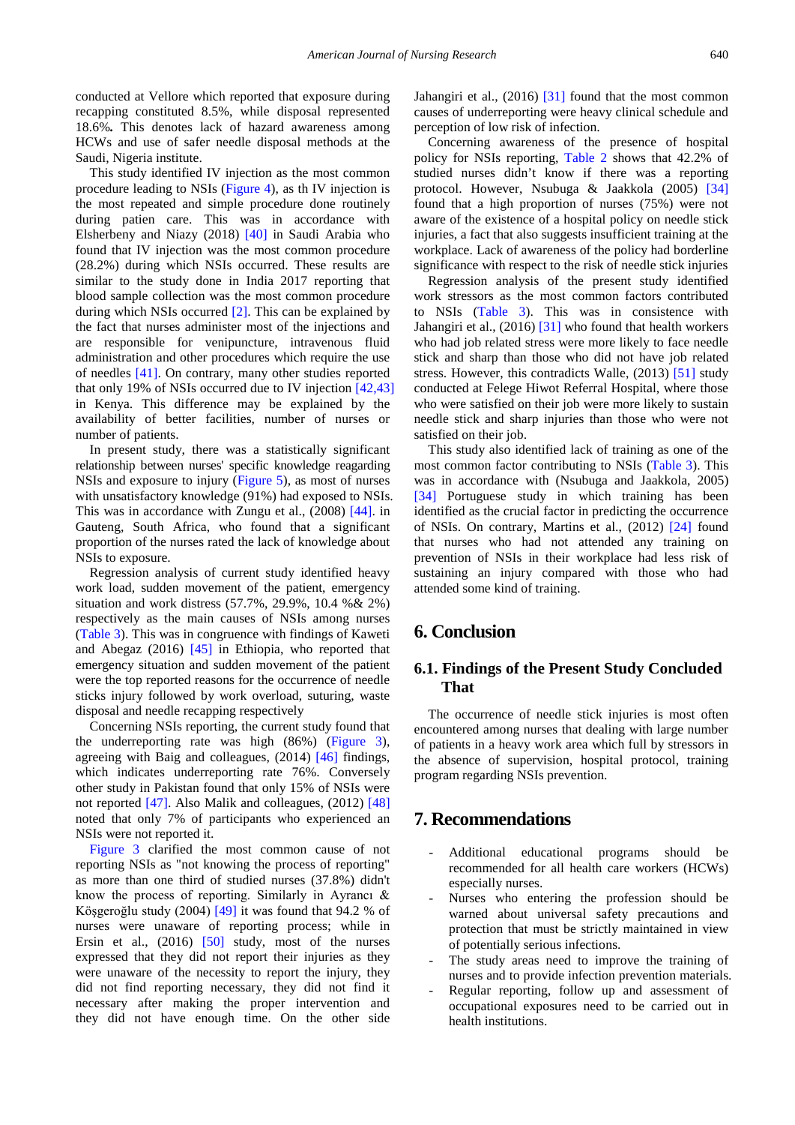conducted at Vellore which reported that exposure during recapping constituted 8.5%, while disposal represented 18.6%*.* This denotes lack of hazard awareness among HCWs and use of safer needle disposal methods at the Saudi, Nigeria institute.

This study identified IV injection as the most common procedure leading to NSIs [\(Figure 4\)](#page-4-0), as th IV injection is the most repeated and simple procedure done routinely during patien care. This was in accordance with Elsherbeny and Niazy (2018) [\[40\]](#page-9-0) in Saudi Arabia who found that IV injection was the most common procedure (28.2%) during which NSIs occurred. These results are similar to the study done in India 2017 reporting that blood sample collection was the most common procedure during which NSIs occurred [\[2\].](#page-8-2) This can be explained by the fact that nurses administer most of the injections and are responsible for venipuncture, intravenous fluid administration and other procedures which require the use of needles [\[41\].](#page-9-1) On contrary, many other studies reported that only 19% of NSIs occurred due to IV injection [\[42,43\]](#page-9-2) in Kenya. This difference may be explained by the availability of better facilities, number of nurses or number of patients.

In present study, there was a statistically significant relationship between nurses' specific knowledge reagarding NSIs and exposure to injury [\(Figure 5\)](#page-4-1), as most of nurses with unsatisfactory knowledge (91%) had exposed to NSIs. This was in accordance with Zungu et al., (2008) [\[44\].](#page-9-3) in Gauteng, South Africa, who found that a significant proportion of the nurses rated the lack of knowledge about NSIs to exposure.

Regression analysis of current study identified heavy work load, sudden movement of the patient, emergency situation and work distress (57.7%, 29.9%, 10.4 %& 2%) respectively as the main causes of NSIs among nurses [\(Table 3\)](#page-5-1). This was in congruence with findings of Kaweti and Abegaz  $(2016)$  [\[45\]](#page-9-4) in Ethiopia, who reported that emergency situation and sudden movement of the patient were the top reported reasons for the occurrence of needle sticks injury followed by work overload, suturing, waste disposal and needle recapping respectively

Concerning NSIs reporting, the current study found that the underreporting rate was high (86%) [\(Figure 3\)](#page-3-1), agreeing with Baig and colleagues, (2014) [\[46\]](#page-9-5) findings, which indicates underreporting rate 76%. Conversely other study in Pakistan found that only 15% of NSIs were not reported [\[47\].](#page-9-6) Also Malik and colleagues, (2012) [\[48\]](#page-9-7) noted that only 7% of participants who experienced an NSIs were not reported it.

[Figure 3](#page-3-1) clarified the most common cause of not reporting NSIs as "not knowing the process of reporting" as more than one third of studied nurses (37.8%) didn't know the process of reporting. Similarly in Ayrancı & Köşgeroğlu study (2004) [\[49\]](#page-9-8) it was found that 94.2 % of nurses were unaware of reporting process; while in Ersin et al., (2016) [\[50\]](#page-9-9) study, most of the nurses expressed that they did not report their injuries as they were unaware of the necessity to report the injury, they did not find reporting necessary, they did not find it necessary after making the proper intervention and they did not have enough time. On the other side

Jahangiri et al., (2016) [\[31\]](#page-8-20) found that the most common causes of underreporting were heavy clinical schedule and perception of low risk of infection.

Concerning awareness of the presence of hospital policy for NSIs reporting, [Table 2](#page-5-0) shows that 42.2% of studied nurses didn't know if there was a reporting protocol. However, Nsubuga & Jaakkola (2005) [\[34\]](#page-8-23) found that a high proportion of nurses (75%) were not aware of the existence of a hospital policy on needle stick injuries, a fact that also suggests insufficient training at the workplace. Lack of awareness of the policy had borderline significance with respect to the risk of needle stick injuries

Regression analysis of the present study identified work stressors as the most common factors contributed to NSIs [\(Table 3\)](#page-5-1). This was in consistence with Jahangiri et al., (2016) [\[31\]](#page-8-20) who found that health workers who had job related stress were more likely to face needle stick and sharp than those who did not have job related stress. However, this contradicts Walle, (2013) [51] study conducted at Felege Hiwot Referral Hospital, where those who were satisfied on their job were more likely to sustain needle stick and sharp injuries than those who were not satisfied on their job.

This study also identified lack of training as one of the most common factor contributing to NSIs [\(Table 3\)](#page-5-1). This was in accordance with (Nsubuga and Jaakkola, 2005) [\[34\]](#page-8-23) Portuguese study in which training has been identified as the crucial factor in predicting the occurrence of NSIs. On contrary, Martins et al., (2012) [\[24\]](#page-8-13) found that nurses who had not attended any training on prevention of NSIs in their workplace had less risk of sustaining an injury compared with those who had attended some kind of training.

# **6. Conclusion**

# **6.1. Findings of the Present Study Concluded That**

The occurrence of needle stick injuries is most often encountered among nurses that dealing with large number of patients in a heavy work area which full by stressors in the absence of supervision, hospital protocol, training program regarding NSIs prevention.

# **7. Recommendations**

- Additional educational programs should be recommended for all health care workers (HCWs) especially nurses.
- Nurses who entering the profession should be warned about universal safety precautions and protection that must be strictly maintained in view of potentially serious infections.
- The study areas need to improve the training of nurses and to provide infection prevention materials.
- Regular reporting, follow up and assessment of occupational exposures need to be carried out in health institutions.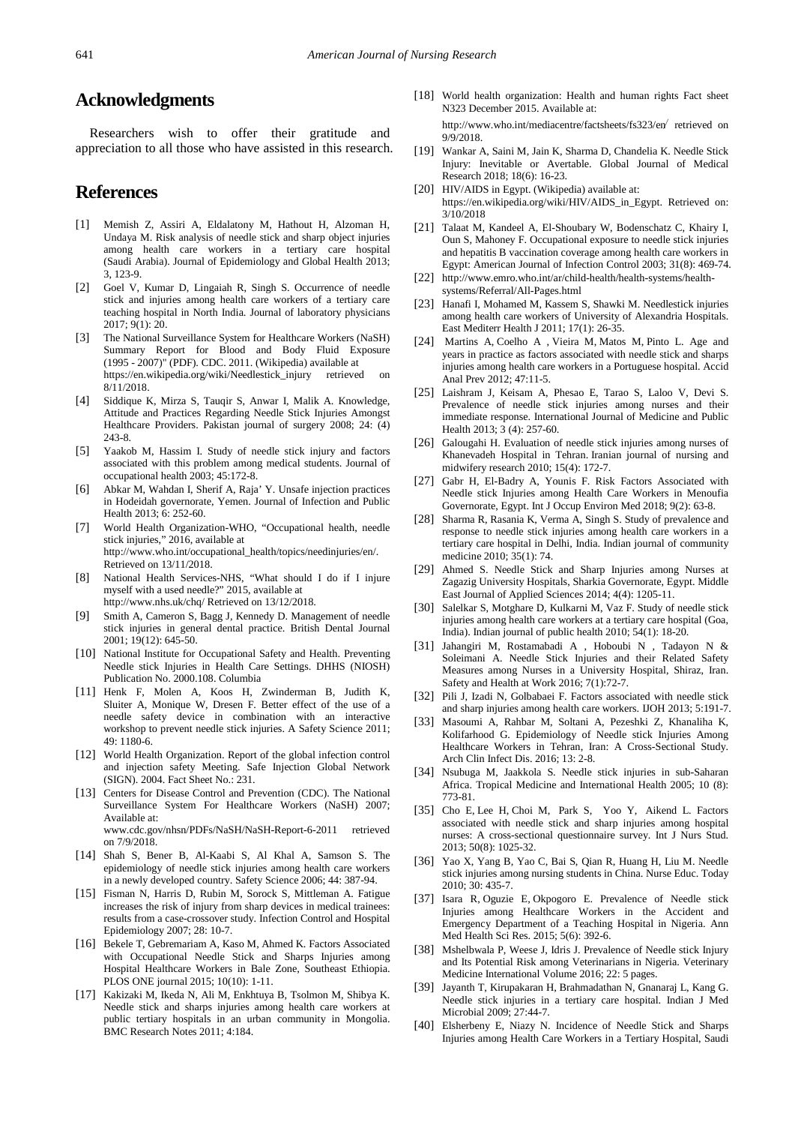# **Acknowledgments**

Researchers wish to offer their gratitude and appreciation to all those who have assisted in this research.

# **References**

- <span id="page-8-1"></span>[1] Memish Z, Assiri A, Eldalatony M, Hathout H, Alzoman H, Undaya M. Risk analysis of needle stick and sharp object injuries among health care workers in a tertiary care hospital (Saudi Arabia). Journal of Epidemiology and Global Health 2013; 3, 123-9.
- <span id="page-8-2"></span>[2] Goel V, Kumar D, Lingaiah R, Singh S. Occurrence of needle stick and injuries among health care workers of a tertiary care teaching hospital in North India. Journal of laboratory physicians 2017; 9(1): 20.
- <span id="page-8-3"></span>[3] The National Surveillance System for Healthcare Workers (NaSH) Summary Report for Blood and Body Fluid Exposure (1995 - 2007)" (PDF). CDC. 2011. (Wikipedia) available at https://en.wikipedia.org/wiki/Needlestick\_injury retrieved on 8/11/2018.
- [4] Siddique K, Mirza S, Tauqir S, Anwar I, Malik A. Knowledge, Attitude and Practices Regarding Needle Stick Injuries Amongst Healthcare Providers. Pakistan journal of surgery 2008; 24: (4) 243-8.
- [5] Yaakob M, Hassim I. Study of needle stick injury and factors associated with this problem among medical students. Journal of occupational health 2003; 45:172-8.
- <span id="page-8-4"></span>[6] Abkar M, Wahdan I, Sherif A, Raja' Y. Unsafe injection practices in Hodeidah governorate, Yemen. Journal of Infection and Public Health 2013; 6: 252-60.
- <span id="page-8-5"></span>[7] World Health Organization-WHO, "Occupational health, needle stick injuries," 2016, available at http://www.who.int/occupational\_health/topics/needinjuries/en/. Retrieved on 13/11/2018.
- [8] National Health Services-NHS, "What should I do if I injure myself with a used needle?" 2015, available at http://www.nhs.uk/chq/ Retrieved on 13/12/2018.
- [9] Smith A, Cameron S, Bagg J, Kennedy D. Management of needle stick injuries in general dental practice. British Dental Journal 2001; 19(12): 645-50.
- <span id="page-8-0"></span>[10] National Institute for Occupational Safety and Health. Preventing Needle stick Injuries in Health Care Settings. DHHS (NIOSH) Publication No. 2000.108. Columbia
- [11] Henk F, Molen A, Koos H, Zwinderman B, Judith K, Sluiter A, Monique W, Dresen F. Better effect of the use of a needle safety device in combination with an interactive workshop to prevent needle stick injuries. A Safety Science 2011; 49: 1180-6.
- [12] World Health Organization. Report of the global infection control and injection safety Meeting. Safe Injection Global Network (SIGN). 2004. Fact Sheet No.: 231.
- [13] Centers for Disease Control and Prevention (CDC). The National Surveillance System For Healthcare Workers (NaSH) 2007; Available at: www.cdc.gov/nhsn/PDFs/NaSH/NaSH-Report-6-2011 retrieved on 7/9/2018.
- [14] Shah S, Bener B, Al-Kaabi S, Al Khal A, Samson S. The epidemiology of needle stick injuries among health care workers in a newly developed country. Safety Science 2006; 44: 387-94.
- [15] Fisman N, Harris D, Rubin M, Sorock S, Mittleman A. Fatigue increases the risk of injury from sharp devices in medical trainees: results from a case-crossover study. Infection Control and Hospital Epidemiology 2007; 28: 10-7.
- <span id="page-8-6"></span>[16] Bekele T, Gebremariam A, Kaso M, Ahmed K. Factors Associated with Occupational Needle Stick and Sharps Injuries among Hospital Healthcare Workers in Bale Zone, Southeast Ethiopia. PLOS ONE journal 2015; 10(10): 1-11.
- [17] Kakizaki M, Ikeda N, Ali M, Enkhtuya B, Tsolmon M, Shibya K. Needle stick and sharps injuries among health care workers at public tertiary hospitals in an urban community in Mongolia. BMC Research Notes 2011; 4:184.
- <span id="page-8-7"></span>[18] World health organization: Health and human rights Fact sheet N323 December 2015. Available at: http://www.who.int/mediacentre/factsheets/fs323/en/ retrieved on
- <span id="page-8-8"></span>9/9/2018. [19] Wankar A, Saini M, Jain K, Sharma D, Chandelia K. Needle Stick
- Injury: Inevitable or Avertable. Global Journal of Medical Research 2018; 18(6): 16-23. [20] HIV/AIDS in Egypt. (Wikipedia) available at:
- <span id="page-8-9"></span>https://en.wikipedia.org/wiki/HIV/AIDS\_in\_Egypt. Retrieved on: 3/10/2018
- <span id="page-8-10"></span>[21] Talaat M, Kandeel A, El-Shoubary W, Bodenschatz C, Khairy I, Oun S, Mahoney F. Occupational exposure to needle stick injuries and hepatitis B vaccination coverage among health care workers in Egypt: American Journal of Infection Control 2003; 31(8): 469-74.
- [22] http://www.emro.who.int/ar/child-health/health-systems/healthsystems/Referral/All-Pages.html
- <span id="page-8-11"></span>[23] Hanafi I, Mohamed M, Kassem S, Shawki M. Needlestick injuries among health care workers of University of Alexandria Hospitals. East Mediterr Health J 2011; 17(1): 26-35.
- <span id="page-8-12"></span>[24] Martins A, Coelho A , Vieira M, Matos M, Pinto L. Age and years in practice as factors associated with needle stick and sharps injuries among health care workers in a Portuguese hospital. Accid Anal Prev 2012; 47:11-5.
- <span id="page-8-13"></span>[25] Laishram J, Keisam A, Phesao E, Tarao S, Laloo V, Devi S. Prevalence of needle stick injuries among nurses and their immediate response. International Journal of Medicine and Public Health 2013; 3 (4): 257-60.
- <span id="page-8-14"></span>[26] Galougahi H. Evaluation of needle stick injuries among nurses of Khanevadeh Hospital in Tehran. Iranian journal of nursing and midwifery research 2010; 15(4): 172-7.
- <span id="page-8-15"></span>[27] Gabr H, El-Badry A, Younis F, Risk Factors Associated with Needle stick Injuries among Health Care Workers in Menoufia Governorate, Egypt. Int J Occup Environ Med 2018; 9(2): 63-8.
- <span id="page-8-16"></span>[28] Sharma R, Rasania K, Verma A, Singh S. Study of prevalence and response to needle stick injuries among health care workers in a tertiary care hospital in Delhi, India. Indian journal of community medicine 2010; 35(1): 74.
- <span id="page-8-17"></span>[29] Ahmed S. Needle Stick and Sharp Injuries among Nurses at Zagazig University Hospitals, Sharkia Governorate, Egypt. Middle East Journal of Applied Sciences 2014; 4(4): 1205-11.
- <span id="page-8-18"></span>[30] Salelkar S, Motghare D, Kulkarni M, Vaz F. Study of needle stick injuries among health care workers at a tertiary care hospital (Goa, India). Indian journal of public health 2010; 54(1): 18-20.
- <span id="page-8-19"></span>[31] Jahangiri M, Rostamabadi A , Hoboubi N , Tadayon N & Soleimani A. Needle Stick Injuries and their Related Safety Measures among Nurses in a University Hospital, Shiraz, Iran. Safety and Health at Work 2016; 7(1):72-7.
- <span id="page-8-20"></span>[32] Pili J, Izadi N, Golbabaei F. Factors associated with needle stick and sharp injuries among health care workers. IJOH 2013; 5:191-7.
- <span id="page-8-21"></span>[33] Masoumi A, Rahbar M, Soltani A, Pezeshki Z, Khanaliha K, Kolifarhood G. Epidemiology of Needle stick Injuries Among Healthcare Workers in Tehran, Iran: A Cross-Sectional Study. Arch Clin Infect Dis. 2016; 13: 2-8.
- <span id="page-8-22"></span>[34] Nsubuga M, Jaakkola S. Needle stick injuries in sub-Saharan Africa. Tropical Medicine and International Health 2005; 10 (8): 773-81.
- <span id="page-8-23"></span>[35] Cho E, Lee H, Choi M, Park S, Yoo Y, Aikend L. Factors associated with needle stick and sharp injuries among hospital nurses: A cross-sectional questionnaire survey. Int J Nurs Stud. 2013; 50(8): 1025-32.
- <span id="page-8-24"></span>[36] Yao X, Yang B, Yao C, Bai S, Qian R, Huang H, Liu M. Needle stick injuries among nursing students in China. Nurse Educ. Today 2010; 30: 435-7.
- <span id="page-8-25"></span>[37] Isara R, Oguzie E, Okpogoro E. Prevalence of Needle stick Injuries among Healthcare Workers in the Accident and Emergency Department of a Teaching Hospital in Nigeria. Ann Med Health Sci Res. 2015; 5(6): 392-6.
- <span id="page-8-26"></span>[38] Mshelbwala P, Weese J, Idris J. Prevalence of Needle stick Injury and Its Potential Risk among Veterinarians in Nigeria. Veterinary Medicine International Volume 2016; 22: 5 pages.
- <span id="page-8-27"></span>[39] Jayanth T, Kirupakaran H, Brahmadathan N, Gnanaraj L, Kang G. Needle stick injuries in a tertiary care hospital. Indian J Med Microbial 2009; 27:44-7.
- <span id="page-8-28"></span>[40] Elsherbeny E, Niazy N. Incidence of Needle Stick and Sharps Injuries among Health Care Workers in a Tertiary Hospital, Saudi